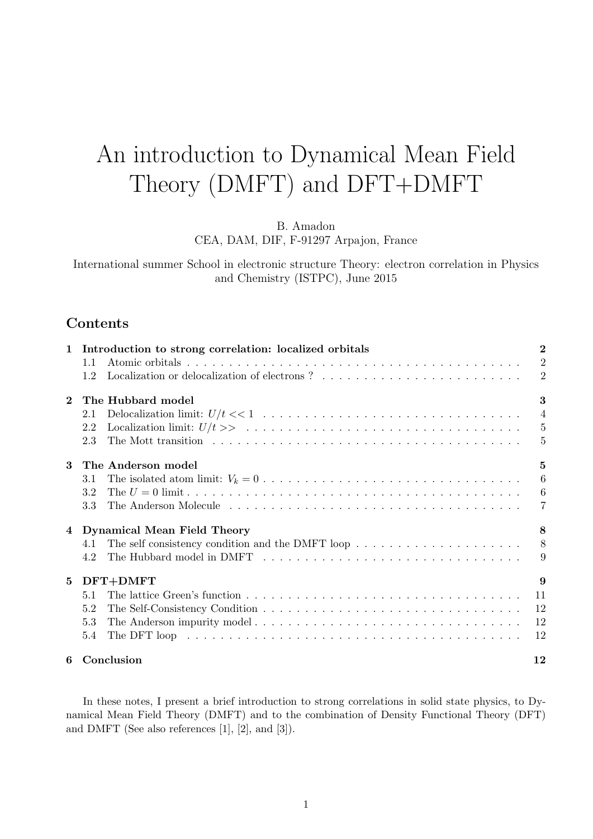# An introduction to Dynamical Mean Field Theory (DMFT) and DFT+DMFT

B. Amadon

CEA, DAM, DIF, F-91297 Arpajon, France

International summer School in electronic structure Theory: electron correlation in Physics and Chemistry (ISTPC), June 2015

# Contents

| $\mathbf{1}$ | Introduction to strong correlation: localized orbitals                                                                      | $\overline{2}$   |
|--------------|-----------------------------------------------------------------------------------------------------------------------------|------------------|
|              | 1.1                                                                                                                         | $\overline{2}$   |
|              | Localization or delocalization of electrons ? $\ldots \ldots \ldots \ldots \ldots \ldots \ldots \ldots$<br>1.2              | $\overline{2}$   |
| $\mathbf{2}$ | The Hubbard model                                                                                                           | 3                |
|              | 2.1                                                                                                                         | $\overline{4}$   |
|              | Localization limit: $U/t >> \ldots + \ldots + \ldots + \ldots + \ldots + \ldots + \ldots + \ldots$<br>2.2                   | $\overline{5}$   |
|              | 2.3                                                                                                                         | $\overline{5}$   |
| $\mathbf{3}$ | The Anderson model                                                                                                          | 5                |
|              | 3.1                                                                                                                         | 6                |
|              | 3.2                                                                                                                         | $\boldsymbol{6}$ |
|              | 3.3                                                                                                                         | $\overline{7}$   |
|              | 4 Dynamical Mean Field Theory                                                                                               | 8                |
|              | The self consistency condition and the DMFT loop $\dots \dots \dots \dots \dots \dots \dots$<br>4.1                         | 8 <sup>8</sup>   |
|              | 4.2                                                                                                                         | 9                |
| $5^{\circ}$  | DFT+DMFT                                                                                                                    | 9                |
|              | 5.1                                                                                                                         | 11               |
|              | 5.2                                                                                                                         | 12               |
|              | 5.3                                                                                                                         | 12               |
|              | The DFT loop $\dots \dots \dots \dots \dots \dots \dots \dots \dots \dots \dots \dots \dots \dots \dots \dots \dots$<br>5.4 | 12               |
|              | 6 Conclusion                                                                                                                | 12               |

In these notes, I present a brief introduction to strong correlations in solid state physics, to Dynamical Mean Field Theory (DMFT) and to the combination of Density Functional Theory (DFT) and DMFT (See also references [1], [2], and [3]).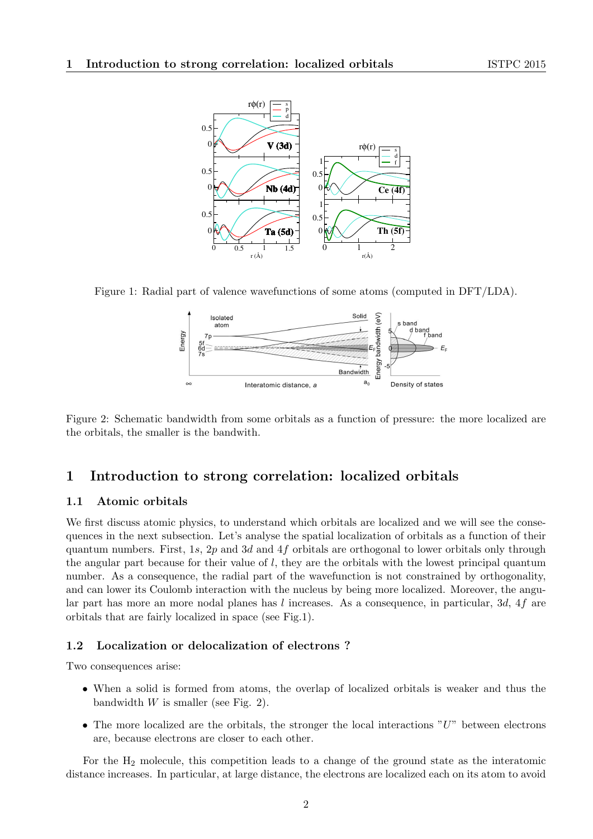

Figure 1: Radial part of valence wavefunctions of some atoms (computed in DFT/LDA).



Figure 2: Schematic bandwidth from some orbitals as a function of pressure: the more localized are the orbitals, the smaller is the bandwith.

# 1 Introduction to strong correlation: localized orbitals

#### 1.1 Atomic orbitals

We first discuss atomic physics, to understand which orbitals are localized and we will see the consequences in the next subsection. Let's analyse the spatial localization of orbitals as a function of their quantum numbers. First, 1s, 2p and 3d and 4f orbitals are orthogonal to lower orbitals only through the angular part because for their value of  $l$ , they are the orbitals with the lowest principal quantum number. As a consequence, the radial part of the wavefunction is not constrained by orthogonality, and can lower its Coulomb interaction with the nucleus by being more localized. Moreover, the angular part has more an more nodal planes has l increases. As a consequence, in particular, 3d, 4f are orbitals that are fairly localized in space (see Fig.1).

## 1.2 Localization or delocalization of electrons ?

Two consequences arise:

- When a solid is formed from atoms, the overlap of localized orbitals is weaker and thus the bandwidth  $W$  is smaller (see Fig. 2).
- The more localized are the orbitals, the stronger the local interactions  $"U"$  between electrons are, because electrons are closer to each other.

For the H<sup>2</sup> molecule, this competition leads to a change of the ground state as the interatomic distance increases. In particular, at large distance, the electrons are localized each on its atom to avoid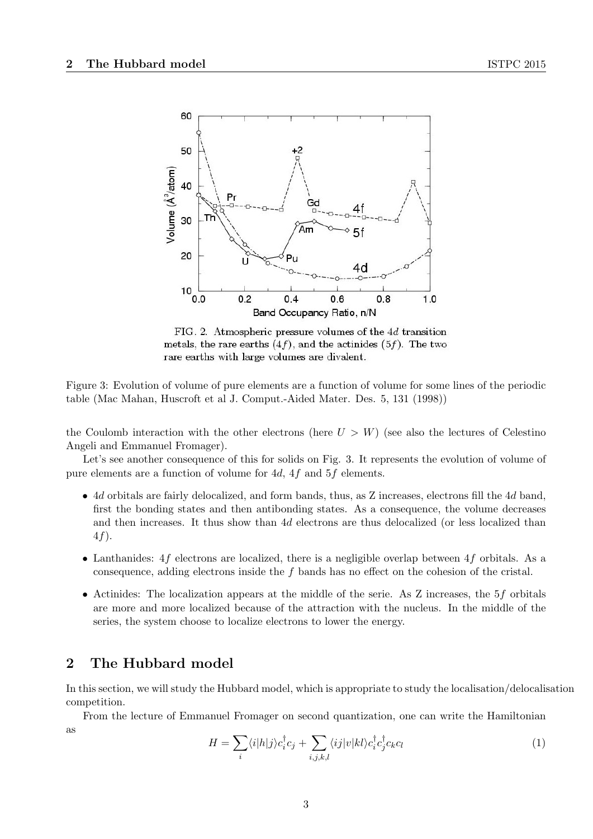

FIG. 2. Atmospheric pressure volumes of the 4d transition metals, the rare earths  $(4f)$ , and the actinides  $(5f)$ . The two rare earths with large volumes are divalent.

Figure 3: Evolution of volume of pure elements are a function of volume for some lines of the periodic table (Mac Mahan, Huscroft et al J. Comput.-Aided Mater. Des. 5, 131 (1998))

the Coulomb interaction with the other electrons (here  $U > W$ ) (see also the lectures of Celestino Angeli and Emmanuel Fromager).

Let's see another consequence of this for solids on Fig. 3. It represents the evolution of volume of pure elements are a function of volume for 4d, 4f and 5f elements.

- 4d orbitals are fairly delocalized, and form bands, thus, as Z increases, electrons fill the 4d band, first the bonding states and then antibonding states. As a consequence, the volume decreases and then increases. It thus show than 4d electrons are thus delocalized (or less localized than 4f).
- Lanthanides:  $4f$  electrons are localized, there is a negligible overlap between  $4f$  orbitals. As a consequence, adding electrons inside the f bands has no effect on the cohesion of the cristal.
- Actinides: The localization appears at the middle of the serie. As Z increases, the 5f orbitals are more and more localized because of the attraction with the nucleus. In the middle of the series, the system choose to localize electrons to lower the energy.

# 2 The Hubbard model

In this section, we will study the Hubbard model, which is appropriate to study the localisation/delocalisation competition.

From the lecture of Emmanuel Fromager on second quantization, one can write the Hamiltonian as

$$
H = \sum_{i} \langle i|h|j\rangle c_i^{\dagger} c_j + \sum_{i,j,k,l} \langle ij|v|kl\rangle c_i^{\dagger} c_j^{\dagger} c_k c_l \tag{1}
$$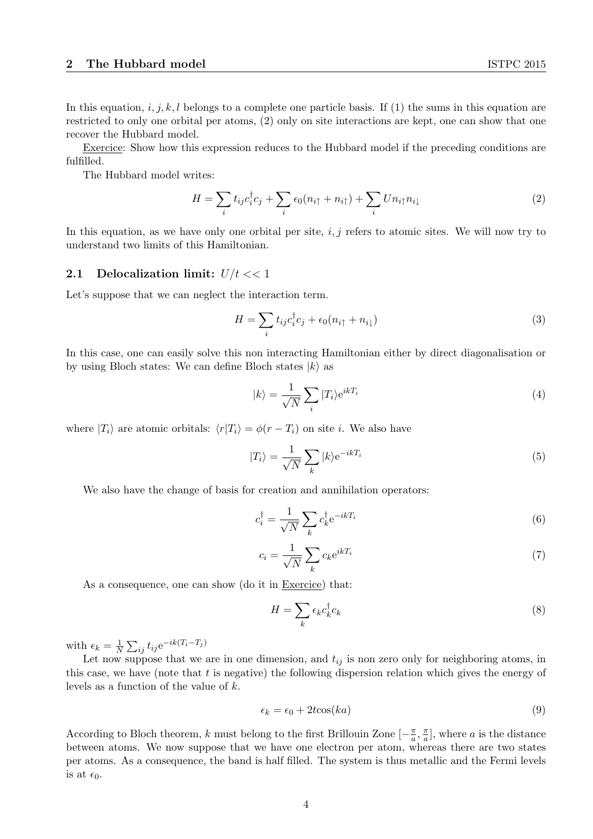In this equation, i, j, k, l belongs to a complete one particle basis. If (1) the sums in this equation are restricted to only one orbital per atoms, (2) only on site interactions are kept, one can show that one recover the Hubbard model.

Exercice: Show how this expression reduces to the Hubbard model if the preceding conditions are fulfilled.

The Hubbard model writes:

$$
H = \sum_{i} t_{ij} c_i^{\dagger} c_j + \sum_{i} \epsilon_0 (n_{i\uparrow} + n_{i\uparrow}) + \sum_{i} U n_{i\uparrow} n_{i\downarrow}
$$
 (2)

In this equation, as we have only one orbital per site,  $i, j$  refers to atomic sites. We will now try to understand two limits of this Hamiltonian.

## 2.1 Delocalization limit:  $U/t \ll 1$

Let's suppose that we can neglect the interaction term.

$$
H = \sum_{i} t_{ij} c_i^{\dagger} c_j + \epsilon_0 (n_{i\uparrow} + n_{i\downarrow})
$$
\n(3)

In this case, one can easily solve this non interacting Hamiltonian either by direct diagonalisation or by using Bloch states: We can define Bloch states  $|k\rangle$  as

$$
|k\rangle = \frac{1}{\sqrt{N}} \sum_{i} |T_i\rangle e^{ikT_i}
$$
 (4)

where  $|T_i\rangle$  are atomic orbitals:  $\langle r|T_i\rangle = \phi(r - T_i)$  on site i. We also have

$$
|T_i\rangle = \frac{1}{\sqrt{N}} \sum_{k} |k\rangle e^{-ikT_i}
$$
 (5)

We also have the change of basis for creation and annihilation operators:

$$
c_i^{\dagger} = \frac{1}{\sqrt{N}} \sum_k c_k^{\dagger} e^{-ikT_i}
$$
\n(6)

$$
c_i = \frac{1}{\sqrt{N}} \sum_k c_k e^{ikT_i} \tag{7}
$$

As a consequence, one can show (do it in Exercice) that:

$$
H = \sum_{k} \epsilon_k c_k^{\dagger} c_k \tag{8}
$$

with  $\epsilon_k = \frac{1}{N}$  $\frac{1}{N} \sum_{ij} t_{ij} e^{-ik(T_i-T_j)}$ 

Let now suppose that we are in one dimension, and  $t_{ij}$  is non zero only for neighboring atoms, in this case, we have (note that  $t$  is negative) the following dispersion relation which gives the energy of levels as a function of the value of k.

$$
\epsilon_k = \epsilon_0 + 2t \cos(ka) \tag{9}
$$

According to Bloch theorem, k must belong to the first Brillouin Zone  $[-\frac{\pi}{a}]$  $\frac{\pi}{a}$ ,  $\frac{\pi}{a}$  $\frac{\pi}{a}$ , where a is the distance between atoms. We now suppose that we have one electron per atom, whereas there are two states per atoms. As a consequence, the band is half filled. The system is thus metallic and the Fermi levels is at  $\epsilon_0$ .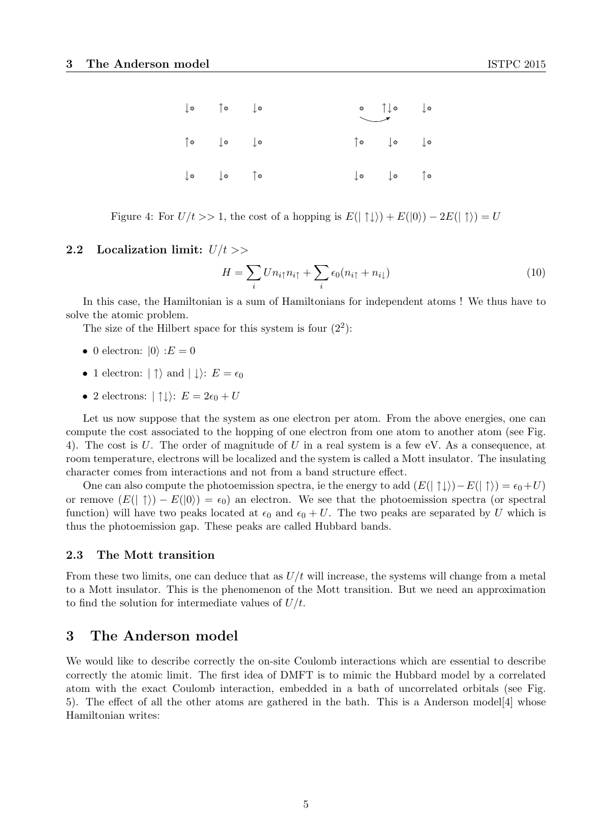| $\begin{array}{ccc} \downarrow \circ & \uparrow \circ & \downarrow \circ \end{array}$                                                                                      |  | $\begin{picture}(120,115) \put(0,0){\line(1,0){150}} \put(15,0){\line(1,0){150}} \put(15,0){\line(1,0){150}} \put(15,0){\line(1,0){150}} \put(15,0){\line(1,0){150}} \put(15,0){\line(1,0){150}} \put(15,0){\line(1,0){150}} \put(15,0){\line(1,0){150}} \put(15,0){\line(1,0){150}} \put(15,0){\line(1,0){150}} \put(15,0){\line(1,0){150$ |  |
|----------------------------------------------------------------------------------------------------------------------------------------------------------------------------|--|---------------------------------------------------------------------------------------------------------------------------------------------------------------------------------------------------------------------------------------------------------------------------------------------------------------------------------------------|--|
| $\hspace{0.1cm} \uparrow \hspace{0.1cm} \circ \hspace{0.1cm} \hspace{0.1cm} \downarrow \hspace{0.1cm} \circ \hspace{0.1cm} \hspace{0.1cm} \downarrow \hspace{0.1cm} \circ$ |  | $\begin{array}{ccc} \uparrow\circ & & \downarrow\circ & & \downarrow\circ \end{array}$                                                                                                                                                                                                                                                      |  |
| $\begin{array}{ccc} \downarrow \circ & & \downarrow \circ & & \uparrow \circ \end{array}$                                                                                  |  | $\downarrow \circ$ $\downarrow \circ$ $\uparrow \circ$                                                                                                                                                                                                                                                                                      |  |

Figure 4: For  $U/t >> 1$ , the cost of a hopping is  $E(|\uparrow\downarrow\rangle) + E(|0\rangle) - 2E(|\uparrow\rangle) = U$ 

#### 2.2 Localization limit:  $U/t \gg$

$$
H = \sum_{i} U n_{i\uparrow} n_{i\uparrow} + \sum_{i} \epsilon_0 (n_{i\uparrow} + n_{i\downarrow})
$$
\n(10)

In this case, the Hamiltonian is a sum of Hamiltonians for independent atoms ! We thus have to solve the atomic problem.

The size of the Hilbert space for this system is four  $(2^2)$ :

- 0 electron:  $|0\rangle$  :  $E = 0$
- 1 electron:  $|\uparrow\rangle$  and  $|\downarrow\rangle$ :  $E = \epsilon_0$
- 2 electrons:  $|\uparrow\downarrow\rangle: E = 2\epsilon_0 + U$

Let us now suppose that the system as one electron per atom. From the above energies, one can compute the cost associated to the hopping of one electron from one atom to another atom (see Fig. 4). The cost is U. The order of magnitude of U in a real system is a few eV. As a consequence, at room temperature, electrons will be localized and the system is called a Mott insulator. The insulating character comes from interactions and not from a band structure effect.

One can also compute the photoemission spectra, ie the energy to add  $(E(|\uparrow\downarrow\rangle)-E(|\uparrow\rangle)=\epsilon_0+U)$ or remove  $(E(| \uparrow \rangle) - E(|0\rangle) = \epsilon_0)$  an electron. We see that the photoemission spectra (or spectral function) will have two peaks located at  $\epsilon_0$  and  $\epsilon_0 + U$ . The two peaks are separated by U which is thus the photoemission gap. These peaks are called Hubbard bands.

#### 2.3 The Mott transition

From these two limits, one can deduce that as  $U/t$  will increase, the systems will change from a metal to a Mott insulator. This is the phenomenon of the Mott transition. But we need an approximation to find the solution for intermediate values of  $U/t$ .

# 3 The Anderson model

We would like to describe correctly the on-site Coulomb interactions which are essential to describe correctly the atomic limit. The first idea of DMFT is to mimic the Hubbard model by a correlated atom with the exact Coulomb interaction, embedded in a bath of uncorrelated orbitals (see Fig. 5). The effect of all the other atoms are gathered in the bath. This is a Anderson model[4] whose Hamiltonian writes: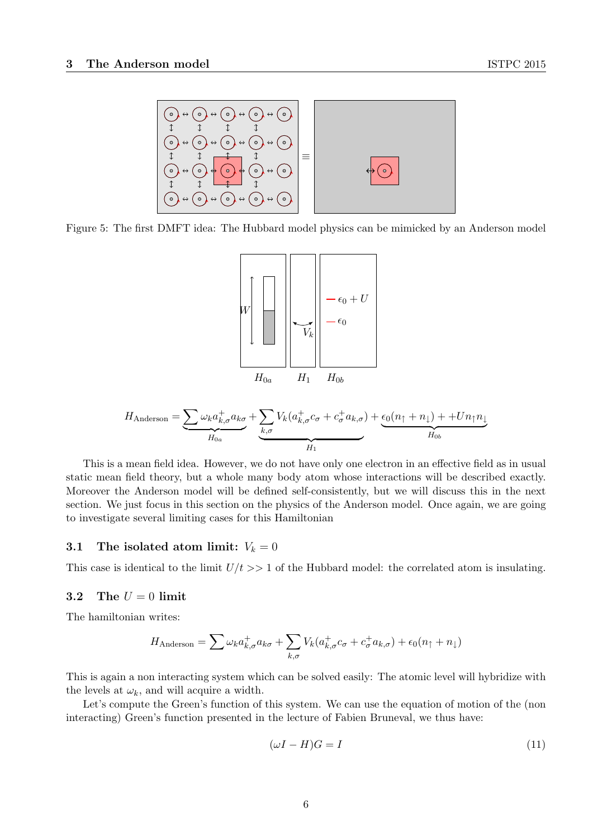

Figure 5: The first DMFT idea: The Hubbard model physics can be mimicked by an Anderson model



$$
H_{\text{Anderson}} = \underbrace{\sum \omega_k a_{k,\sigma}^+ a_{k\sigma}}_{H_{0a}} + \underbrace{\sum_{k,\sigma} V_k (a_{k,\sigma}^+ c_{\sigma}^+ a_{k,\sigma})}_{H_1} + \underbrace{\epsilon_0 (n_{\uparrow} + n_{\downarrow}) + + U n_{\uparrow} n_{\downarrow}}_{H_{0b}}
$$

This is a mean field idea. However, we do not have only one electron in an effective field as in usual static mean field theory, but a whole many body atom whose interactions will be described exactly. Moreover the Anderson model will be defined self-consistently, but we will discuss this in the next section. We just focus in this section on the physics of the Anderson model. Once again, we are going to investigate several limiting cases for this Hamiltonian

## 3.1 The isolated atom limit:  $V_k = 0$

This case is identical to the limit  $U/t \gg 1$  of the Hubbard model: the correlated atom is insulating.

#### 3.2 The  $U = 0$  limit

The hamiltonian writes:

$$
H_{\text{Anderson}} = \sum \omega_k a_{k,\sigma}^+ a_{k\sigma} + \sum_{k,\sigma} V_k (a_{k,\sigma}^+ c_{\sigma}^+ a_{k,\sigma}) + \epsilon_0 (n_{\uparrow} + n_{\downarrow})
$$

This is again a non interacting system which can be solved easily: The atomic level will hybridize with the levels at  $\omega_k$ , and will acquire a width.

Let's compute the Green's function of this system. We can use the equation of motion of the (non interacting) Green's function presented in the lecture of Fabien Bruneval, we thus have:

$$
(\omega I - H)G = I \tag{11}
$$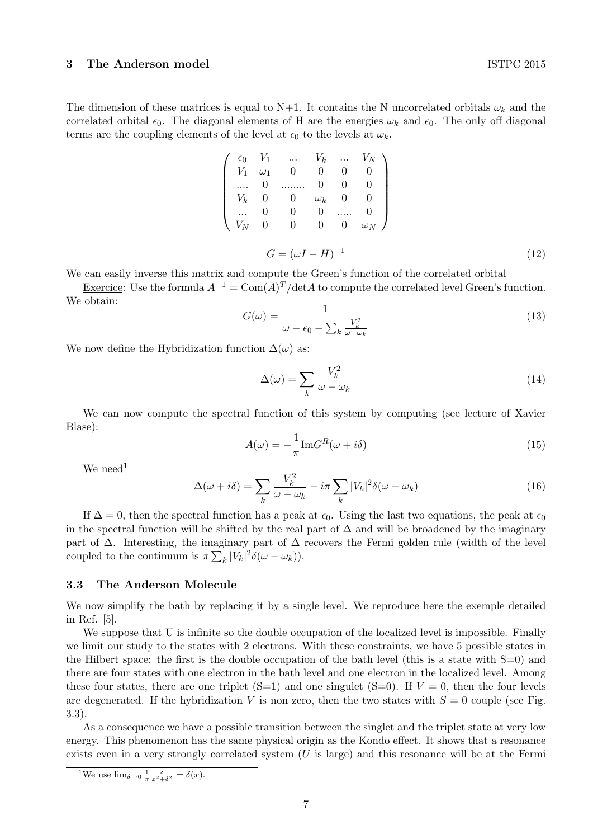The dimension of these matrices is equal to N+1. It contains the N uncorrelated orbitals  $\omega_k$  and the correlated orbital  $\epsilon_0$ . The diagonal elements of H are the energies  $\omega_k$  and  $\epsilon_0$ . The only off diagonal terms are the coupling elements of the level at  $\epsilon_0$  to the levels at  $\omega_k$ .

|  |  | $\left( \begin{array}{cccccc} \epsilon_0 & V_1 & \ldots & V_k & \ldots & V_N \\ V_1 & \omega_1 & 0 & 0 & 0 & 0 \\ \ldots & 0 & \ldots & 0 & 0 & 0 \end{array} \right)$<br>$\left( \begin{array}{cccccc} V_k & 0 & 0 & \omega_k & 0 & 0 \\  & 0 & 0 & 0 &  & 0 \\ V_N & 0 & 0 & 0 & 0 & \omega_N \end{array} \right)$<br>$G = (\omega I - H)^{-1}$ |
|--|--|---------------------------------------------------------------------------------------------------------------------------------------------------------------------------------------------------------------------------------------------------------------------------------------------------------------------------------------------------|

We can easily inverse this matrix and compute the Green's function of the correlated orbital

Exercice: Use the formula  $A^{-1} = \text{Com}(A)^T/\text{det}A$  to compute the correlated level Green's function. We obtain:

$$
G(\omega) = \frac{1}{\omega - \epsilon_0 - \sum_k \frac{V_k^2}{\omega - \omega_k}}
$$
\n(13)

We now define the Hybridization function  $\Delta(\omega)$  as:

$$
\Delta(\omega) = \sum_{k} \frac{V_k^2}{\omega - \omega_k} \tag{14}
$$

We can now compute the spectral function of this system by computing (see lecture of Xavier Blase):

$$
A(\omega) = -\frac{1}{\pi} \text{Im} G^{R}(\omega + i\delta)
$$
\n(15)

We need<sup>1</sup>

$$
\Delta(\omega + i\delta) = \sum_{k} \frac{V_k^2}{\omega - \omega_k} - i\pi \sum_{k} |V_k|^2 \delta(\omega - \omega_k)
$$
\n(16)

If  $\Delta = 0$ , then the spectral function has a peak at  $\epsilon_0$ . Using the last two equations, the peak at  $\epsilon_0$ in the spectral function will be shifted by the real part of  $\Delta$  and will be broadened by the imaginary part of  $\Delta$ . Interesting, the imaginary part of  $\Delta$  recovers the Fermi golden rule (width of the level coupled to the continuum is  $\pi \sum_{k} |V_k|^2 \delta(\omega - \omega_k)$ ).

#### 3.3 The Anderson Molecule

We now simplify the bath by replacing it by a single level. We reproduce here the exemple detailed in Ref. [5].

We suppose that U is infinite so the double occupation of the localized level is impossible. Finally we limit our study to the states with 2 electrons. With these constraints, we have 5 possible states in the Hilbert space: the first is the double occupation of the bath level (this is a state with S=0) and there are four states with one electron in the bath level and one electron in the localized level. Among these four states, there are one triplet  $(S=1)$  and one singulet  $(S=0)$ . If  $V=0$ , then the four levels are degenerated. If the hybridization V is non zero, then the two states with  $S = 0$  couple (see Fig. 3.3).

As a consequence we have a possible transition between the singlet and the triplet state at very low energy. This phenomenon has the same physical origin as the Kondo effect. It shows that a resonance exists even in a very strongly correlated system  $(U$  is large) and this resonance will be at the Fermi

<sup>&</sup>lt;sup>1</sup>We use  $\lim_{\delta \to 0} \frac{1}{\pi} \frac{\delta}{x^2 + \delta^2} = \delta(x)$ .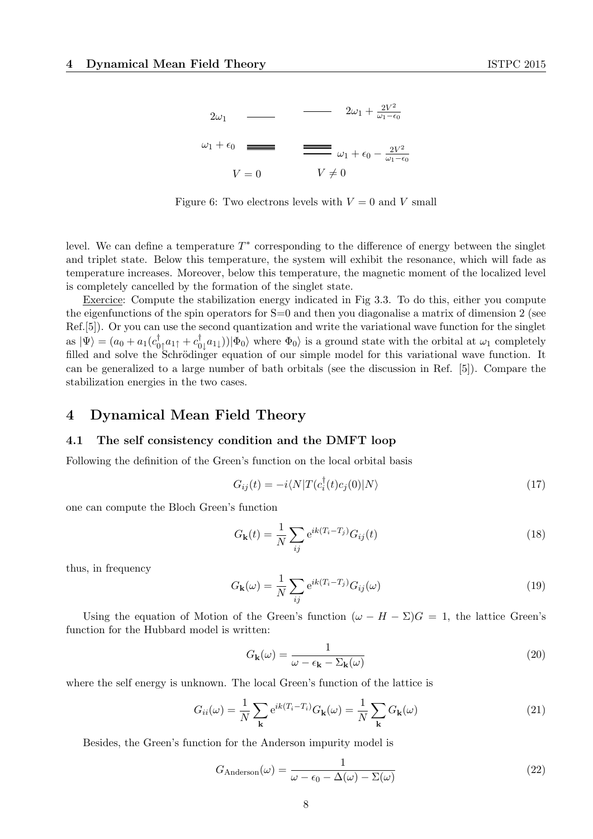

Figure 6: Two electrons levels with  $V = 0$  and V small

level. We can define a temperature  $T^*$  corresponding to the difference of energy between the singlet and triplet state. Below this temperature, the system will exhibit the resonance, which will fade as temperature increases. Moreover, below this temperature, the magnetic moment of the localized level is completely cancelled by the formation of the singlet state.

Exercice: Compute the stabilization energy indicated in Fig 3.3. To do this, either you compute the eigenfunctions of the spin operators for  $S=0$  and then you diagonalise a matrix of dimension 2 (see Ref.[5]). Or you can use the second quantization and write the variational wave function for the singlet as  $|\Psi\rangle = (a_0 + a_1(c_0^{\dagger}$  $_{0\uparrow}^{\dagger}a_{1\uparrow}+c_{0}^{\dagger}% a_{2\downarrow}+c_{0\downarrow}^{\dagger}a_{2\downarrow}+c_{0\downarrow}^{\dagger}a_{3\downarrow}+c_{0\downarrow}^{\dagger}a_{4\downarrow}+c_{0\downarrow}^{\dagger}a_{4\downarrow}+c_{0\downarrow}^{\dagger}a_{4\downarrow}+c_{0\downarrow}^{\dagger}a_{4\downarrow}+c_{0\downarrow}^{\dagger}a_{4\downarrow}+c_{0\downarrow}^{\dagger}a_{4\downarrow}+c_{0\downarrow}^{\dagger}a_{4\downarrow}+c_{0\$  $\int_0^T a_1(x) |\Phi_0\rangle$  where  $\Phi_0$  is a ground state with the orbital at  $\omega_1$  completely filled and solve the Schrödinger equation of our simple model for this variational wave function. It can be generalized to a large number of bath orbitals (see the discussion in Ref. [5]). Compare the stabilization energies in the two cases.

# 4 Dynamical Mean Field Theory

#### 4.1 The self consistency condition and the DMFT loop

Following the definition of the Green's function on the local orbital basis

$$
G_{ij}(t) = -i \langle N|T(c_i^{\dagger}(t)c_j(0)|N\rangle \tag{17}
$$

one can compute the Bloch Green's function

$$
G_{\mathbf{k}}(t) = \frac{1}{N} \sum_{ij} e^{ik(T_i - T_j)} G_{ij}(t)
$$
\n(18)

thus, in frequency

$$
G_{\mathbf{k}}(\omega) = \frac{1}{N} \sum_{ij} e^{ik(T_i - T_j)} G_{ij}(\omega)
$$
\n(19)

Using the equation of Motion of the Green's function  $(\omega - H - \Sigma)G = 1$ , the lattice Green's function for the Hubbard model is written:

$$
G_{\mathbf{k}}(\omega) = \frac{1}{\omega - \epsilon_{\mathbf{k}} - \Sigma_{\mathbf{k}}(\omega)}\tag{20}
$$

where the self energy is unknown. The local Green's function of the lattice is

$$
G_{ii}(\omega) = \frac{1}{N} \sum_{\mathbf{k}} e^{ik(T_i - T_i)} G_{\mathbf{k}}(\omega) = \frac{1}{N} \sum_{\mathbf{k}} G_{\mathbf{k}}(\omega)
$$
(21)

Besides, the Green's function for the Anderson impurity model is

$$
G_{\text{Anderson}}(\omega) = \frac{1}{\omega - \epsilon_0 - \Delta(\omega) - \Sigma(\omega)}\tag{22}
$$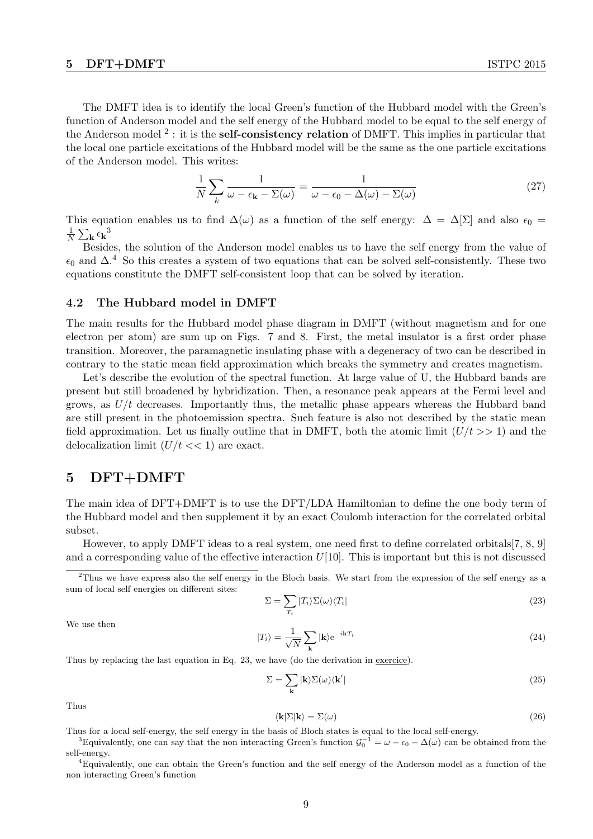The DMFT idea is to identify the local Green's function of the Hubbard model with the Green's function of Anderson model and the self energy of the Hubbard model to be equal to the self energy of the Anderson model <sup>2</sup>: it is the **self-consistency relation** of DMFT. This implies in particular that the local one particle excitations of the Hubbard model will be the same as the one particle excitations of the Anderson model. This writes:

$$
\frac{1}{N} \sum_{k} \frac{1}{\omega - \epsilon_{\mathbf{k}} - \Sigma(\omega)} = \frac{1}{\omega - \epsilon_0 - \Delta(\omega) - \Sigma(\omega)}\tag{27}
$$

This equation enables us to find  $\Delta(\omega)$  as a function of the self energy:  $\Delta = \Delta[\Sigma]$  and also  $\epsilon_0 =$ 1  $\frac{1}{N} \sum_{\mathbf{k}} \epsilon_{\mathbf{k}}^3$ 

Besides, the solution of the Anderson model enables us to have the self energy from the value of  $\epsilon_0$  and  $\Delta$ .<sup>4</sup> So this creates a system of two equations that can be solved self-consistently. These two equations constitute the DMFT self-consistent loop that can be solved by iteration.

#### 4.2 The Hubbard model in DMFT

The main results for the Hubbard model phase diagram in DMFT (without magnetism and for one electron per atom) are sum up on Figs. 7 and 8. First, the metal insulator is a first order phase transition. Moreover, the paramagnetic insulating phase with a degeneracy of two can be described in contrary to the static mean field approximation which breaks the symmetry and creates magnetism.

Let's describe the evolution of the spectral function. At large value of U, the Hubbard bands are present but still broadened by hybridization. Then, a resonance peak appears at the Fermi level and grows, as  $U/t$  decreases. Importantly thus, the metallic phase appears whereas the Hubbard band are still present in the photoemission spectra. Such feature is also not described by the static mean field approximation. Let us finally outline that in DMFT, both the atomic limit  $(U/t >> 1)$  and the delocalization limit  $(U/t \ll 1)$  are exact.

# 5 DFT+DMFT

The main idea of DFT+DMFT is to use the DFT/LDA Hamiltonian to define the one body term of the Hubbard model and then supplement it by an exact Coulomb interaction for the correlated orbital subset.

However, to apply DMFT ideas to a real system, one need first to define correlated orbitals[7, 8, 9] and a corresponding value of the effective interaction  $U[10]$ . This is important but this is not discussed

 $2$ Thus we have express also the self energy in the Bloch basis. We start from the expression of the self energy as a sum of local self energies on different sites:

$$
\Sigma = \sum_{T_i} |T_i\rangle \Sigma(\omega) \langle T_i| \tag{23}
$$

We use then

$$
|T_i\rangle = \frac{1}{\sqrt{N}} \sum_{\mathbf{k}} |\mathbf{k}\rangle e^{-i\mathbf{k}T_i}
$$
 (24)

Thus by replacing the last equation in Eq. 23, we have (do the derivation in exercice).

$$
\Sigma = \sum_{\mathbf{k}} |\mathbf{k}\rangle \Sigma(\omega) \langle \mathbf{k}'| \tag{25}
$$

Thus

$$
\langle \mathbf{k} | \Sigma | \mathbf{k} \rangle = \Sigma(\omega) \tag{26}
$$

Thus for a local self-energy, the self energy in the basis of Bloch states is equal to the local self-energy. <sup>3</sup>Equivalently, one can say that the non interacting Green's function  $\mathcal{G}_0^{-1} = \omega - \epsilon_0 - \Delta(\omega)$  can be obtained from the

self-energy.

<sup>4</sup>Equivalently, one can obtain the Green's function and the self energy of the Anderson model as a function of the non interacting Green's function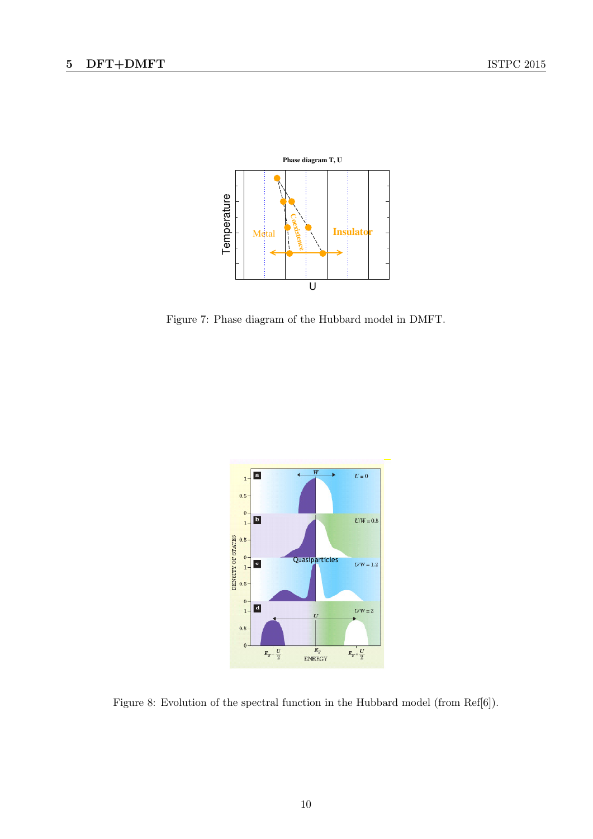

Figure 7: Phase diagram of the Hubbard model in DMFT.



Figure 8: Evolution of the spectral function in the Hubbard model (from Ref[6]).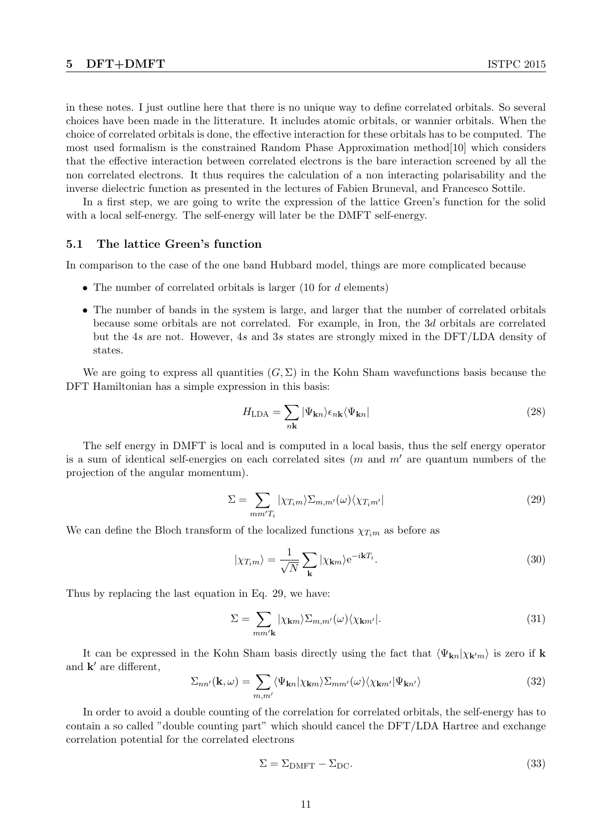in these notes. I just outline here that there is no unique way to define correlated orbitals. So several choices have been made in the litterature. It includes atomic orbitals, or wannier orbitals. When the choice of correlated orbitals is done, the effective interaction for these orbitals has to be computed. The most used formalism is the constrained Random Phase Approximation method[10] which considers that the effective interaction between correlated electrons is the bare interaction screened by all the non correlated electrons. It thus requires the calculation of a non interacting polarisability and the inverse dielectric function as presented in the lectures of Fabien Bruneval, and Francesco Sottile.

In a first step, we are going to write the expression of the lattice Green's function for the solid with a local self-energy. The self-energy will later be the DMFT self-energy.

#### 5.1 The lattice Green's function

In comparison to the case of the one band Hubbard model, things are more complicated because

- The number of correlated orbitals is larger  $(10 \text{ for } d \text{ elements})$
- The number of bands in the system is large, and larger that the number of correlated orbitals because some orbitals are not correlated. For example, in Iron, the 3d orbitals are correlated but the 4s are not. However, 4s and 3s states are strongly mixed in the DFT/LDA density of states.

We are going to express all quantities  $(G, \Sigma)$  in the Kohn Sham wavefunctions basis because the DFT Hamiltonian has a simple expression in this basis:

$$
H_{\text{LDA}} = \sum_{n\mathbf{k}} |\Psi_{\mathbf{k}n}\rangle \epsilon_{n\mathbf{k}} \langle \Psi_{\mathbf{k}n}| \tag{28}
$$

The self energy in DMFT is local and is computed in a local basis, thus the self energy operator is a sum of identical self-energies on each correlated sites  $(m \text{ and } m' \text{ are quantum numbers of the})$ projection of the angular momentum).

$$
\Sigma = \sum_{mm'T_i} |\chi_{T_i m} \rangle \Sigma_{m,m'}(\omega) \langle \chi_{T_i m'}| \tag{29}
$$

We can define the Bloch transform of the localized functions  $\chi_{T,m}$  as before as

$$
|\chi_{T_i m}\rangle = \frac{1}{\sqrt{N}} \sum_{\mathbf{k}} |\chi_{\mathbf{k} m}\rangle e^{-i\mathbf{k}T_i}.
$$
 (30)

Thus by replacing the last equation in Eq. 29, we have:

$$
\Sigma = \sum_{mm'\mathbf{k}} |\chi_{\mathbf{k}m}\rangle \Sigma_{m,m'}(\omega) \langle \chi_{\mathbf{k}m'}|.
$$
\n(31)

It can be expressed in the Kohn Sham basis directly using the fact that  $\langle \Psi_{\mathbf{k}n} | \chi_{\mathbf{k}'m} \rangle$  is zero if k and  $\mathbf{k}'$  are different,

$$
\Sigma_{nn'}(\mathbf{k},\omega) = \sum_{m,m'} \langle \Psi_{\mathbf{k}n} | \chi_{\mathbf{k}m} \rangle \Sigma_{mm'}(\omega) \langle \chi_{\mathbf{k}m'} | \Psi_{\mathbf{k}n'} \rangle \tag{32}
$$

In order to avoid a double counting of the correlation for correlated orbitals, the self-energy has to contain a so called "double counting part" which should cancel the DFT/LDA Hartree and exchange correlation potential for the correlated electrons

$$
\Sigma = \Sigma_{\text{DMFT}} - \Sigma_{\text{DC}}.\tag{33}
$$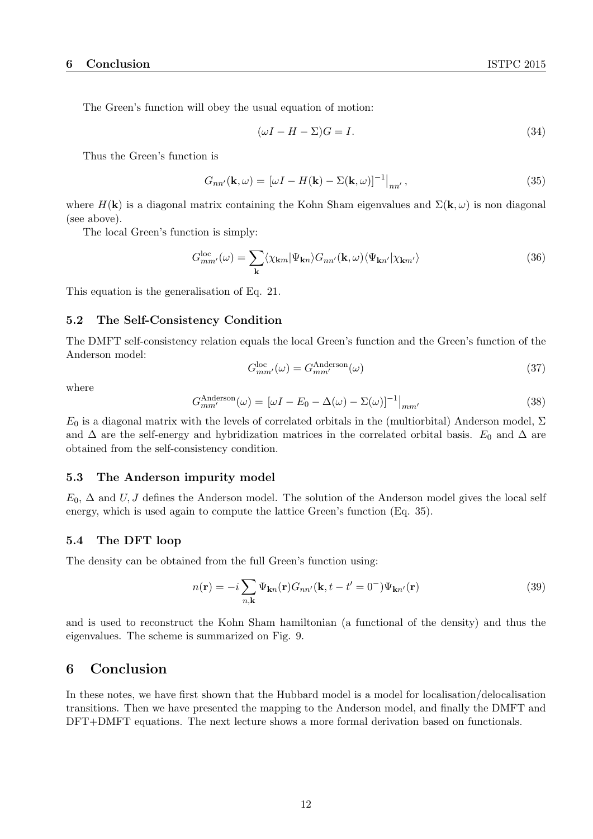The Green's function will obey the usual equation of motion:

$$
(\omega I - H - \Sigma)G = I. \tag{34}
$$

Thus the Green's function is

$$
G_{nn'}(\mathbf{k},\omega) = [\omega I - H(\mathbf{k}) - \Sigma(\mathbf{k},\omega)]^{-1}|_{nn'},
$$
\n(35)

where  $H(\mathbf{k})$  is a diagonal matrix containing the Kohn Sham eigenvalues and  $\Sigma(\mathbf{k}, \omega)$  is non diagonal (see above).

The local Green's function is simply:

$$
G_{mm'}^{loc}(\omega) = \sum_{\mathbf{k}} \langle \chi_{\mathbf{k}m} | \Psi_{\mathbf{k}n} \rangle G_{nn'}(\mathbf{k}, \omega) \langle \Psi_{\mathbf{k}n'} | \chi_{\mathbf{k}m'} \rangle \tag{36}
$$

This equation is the generalisation of Eq. 21.

## 5.2 The Self-Consistency Condition

The DMFT self-consistency relation equals the local Green's function and the Green's function of the Anderson model:

$$
G_{mm'}^{\text{loc}}(\omega) = G_{mm'}^{\text{Anderson}}(\omega) \tag{37}
$$

where

$$
G_{mm'}^{\text{Anderson}}(\omega) = \left[\omega I - E_0 - \Delta(\omega) - \Sigma(\omega)\right]^{-1}\Big|_{mm'}
$$
\n(38)

 $E_0$  is a diagonal matrix with the levels of correlated orbitals in the (multiorbital) Anderson model,  $\Sigma$ and  $\Delta$  are the self-energy and hybridization matrices in the correlated orbital basis.  $E_0$  and  $\Delta$  are obtained from the self-consistency condition.

#### 5.3 The Anderson impurity model

 $E_0$ ,  $\Delta$  and U, J defines the Anderson model. The solution of the Anderson model gives the local self energy, which is used again to compute the lattice Green's function (Eq. 35).

## 5.4 The DFT loop

The density can be obtained from the full Green's function using:

$$
n(\mathbf{r}) = -i \sum_{n,\mathbf{k}} \Psi_{\mathbf{k}n}(\mathbf{r}) G_{nn'}(\mathbf{k}, t - t' = 0^{-}) \Psi_{\mathbf{k}n'}(\mathbf{r})
$$
\n(39)

and is used to reconstruct the Kohn Sham hamiltonian (a functional of the density) and thus the eigenvalues. The scheme is summarized on Fig. 9.

# 6 Conclusion

In these notes, we have first shown that the Hubbard model is a model for localisation/delocalisation transitions. Then we have presented the mapping to the Anderson model, and finally the DMFT and DFT+DMFT equations. The next lecture shows a more formal derivation based on functionals.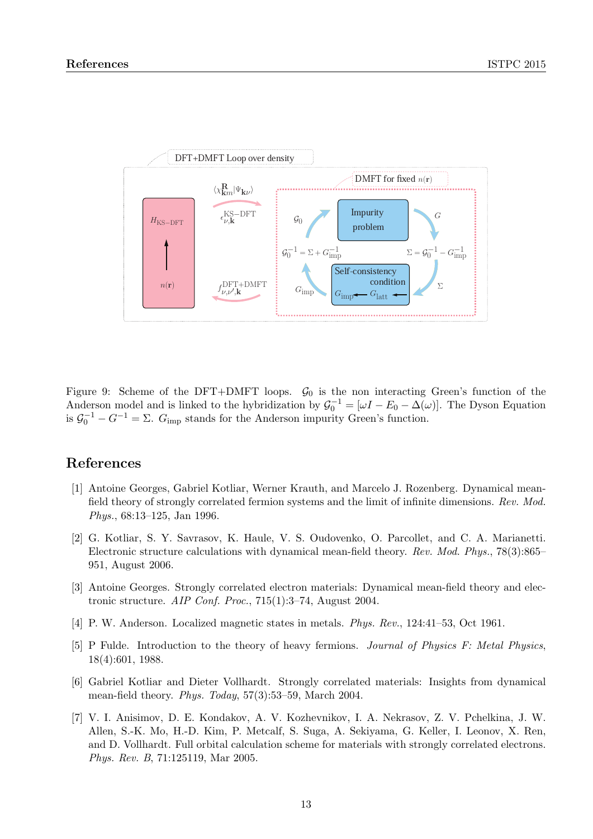

Figure 9: Scheme of the DFT+DMFT loops.  $\mathcal{G}_0$  is the non interacting Green's function of the is initial to the hypridization by  $\mathcal{G}_0 = [\omega I - E_0 - \Delta(\omega)]$ . The Dyson  $_{\rm imp}$  stands for the Anderson impurity Green's function. Anderson model and is linked to the hybridization by  $\mathcal{G}_0^{-1} = [\omega I - E_0 - \Delta(\omega)]$ . The Dyson Equation is  $\mathcal{G}_0^{-1} - G^{-1} = \Sigma$ .  $G_{\text{imp}}$  stands for the Anderson impurity Green's function.

# References

- field theory of strongly correlated fermion systems and the limit of infinite dimensions. Rev. Mod.  $Phys., 68:13-125, Jan 1996.$ [1] Antoine Georges, Gabriel Kotliar, Werner Krauth, and Marcelo J. Rozenberg. Dynamical mean-
- [2] G. Kotliar, S. Y. Savrasov, K. Haule, V. S. Oudovenko, O. Parcollet, and C. A. Marianetti. Electronic structure calculations with dynamical mean-field theory. Rev. Mod. Phys., 78(3):865–  $951,$  August 2006.
- [3] Antoine Georges. Strongly correlated electron materials: Dynamical mean-field theory and electronic structure. AIP Conf. Proc., 715(1):3–74, August 2004.
- [4] P. W. Anderson. Localized magnetic states in metals. Phys. Rev., 124:41–53, Oct 1961.
- $5.001, 1900.$ [5] P Fulde. Introduction to the theory of heavy fermions. Journal of Physics F: Metal Physics, 18(4):601, 1988.
- [6] Gabriel Kotliar and Dieter Vollhardt. Strongly correlated materials: Insights from dynamical mean-field theory. Phys. Today, 57(3):53–59, March 2004.
- [7] V. I. Anisimov, D. E. Kondakov, A. V. Kozhevnikov, I. A. Nekrasov, Z. V. Pchelkina, J. W. Allen, S.-K. Mo, H.-D. Kim, P. Metcalf, S. Suga, A. Sekiyama, G. Keller, I. Leonov, X. Ren, and D. Vollhardt. Full orbital calculation scheme for materials with strongly correlated electrons. Phys. Rev. B, 71:125119, Mar 2005.